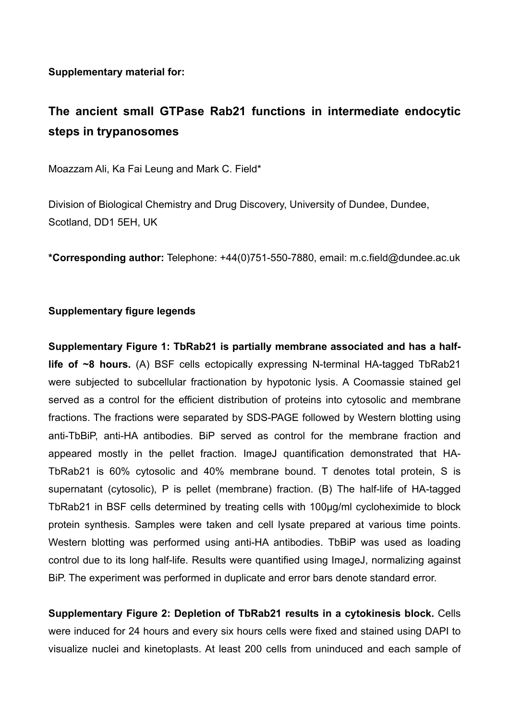**Supplementary material for:** 

## **The ancient small GTPase Rab21 functions in intermediate endocytic steps in trypanosomes**

Moazzam Ali, Ka Fai Leung and Mark C. Field\*

Division of Biological Chemistry and Drug Discovery, University of Dundee, Dundee, Scotland, DD1 5EH, UK

**\*Corresponding author:** Telephone: +44(0)751-550-7880, email: m.c.field@dundee.ac.uk

## **Supplementary figure legends**

**Supplementary Figure 1: TbRab21 is partially membrane associated and has a halflife of ~8 hours.** (A) BSF cells ectopically expressing N-terminal HA-tagged TbRab21 were subjected to subcellular fractionation by hypotonic lysis. A Coomassie stained gel served as a control for the efficient distribution of proteins into cytosolic and membrane fractions. The fractions were separated by SDS-PAGE followed by Western blotting using anti-TbBiP, anti-HA antibodies. BiP served as control for the membrane fraction and appeared mostly in the pellet fraction. ImageJ quantification demonstrated that HA-TbRab21 is 60% cytosolic and 40% membrane bound. T denotes total protein, S is supernatant (cytosolic), P is pellet (membrane) fraction. (B) The half-life of HA-tagged TbRab21 in BSF cells determined by treating cells with 100µg/ml cycloheximide to block protein synthesis. Samples were taken and cell lysate prepared at various time points. Western blotting was performed using anti-HA antibodies. TbBiP was used as loading control due to its long half-life. Results were quantified using ImageJ, normalizing against BiP. The experiment was performed in duplicate and error bars denote standard error.

**Supplementary Figure 2: Depletion of TbRab21 results in a cytokinesis block.** Cells were induced for 24 hours and every six hours cells were fixed and stained using DAPI to visualize nuclei and kinetoplasts. At least 200 cells from uninduced and each sample of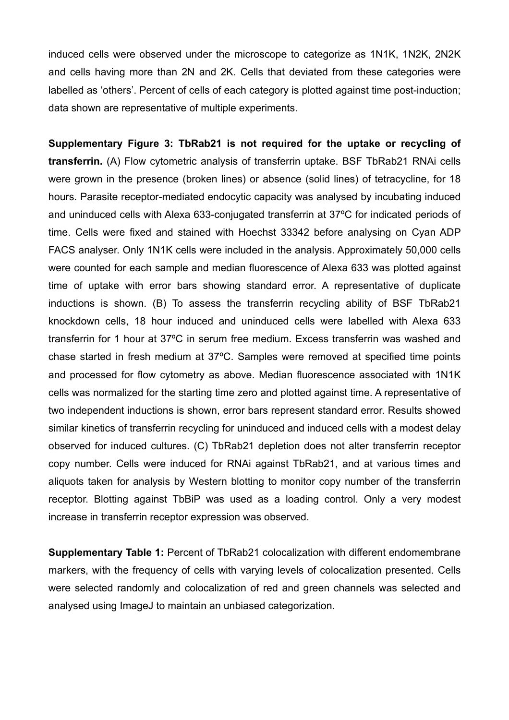induced cells were observed under the microscope to categorize as 1N1K, 1N2K, 2N2K and cells having more than 2N and 2K. Cells that deviated from these categories were labelled as 'others'. Percent of cells of each category is plotted against time post-induction; data shown are representative of multiple experiments.

**Supplementary Figure 3: TbRab21 is not required for the uptake or recycling of transferrin.** (A) Flow cytometric analysis of transferrin uptake. BSF TbRab21 RNAi cells were grown in the presence (broken lines) or absence (solid lines) of tetracycline, for 18 hours. Parasite receptor-mediated endocytic capacity was analysed by incubating induced and uninduced cells with Alexa 633-conjugated transferrin at 37ºC for indicated periods of time. Cells were fixed and stained with Hoechst 33342 before analysing on Cyan ADP FACS analyser. Only 1N1K cells were included in the analysis. Approximately 50,000 cells were counted for each sample and median fluorescence of Alexa 633 was plotted against time of uptake with error bars showing standard error. A representative of duplicate inductions is shown. (B) To assess the transferrin recycling ability of BSF TbRab21 knockdown cells, 18 hour induced and uninduced cells were labelled with Alexa 633 transferrin for 1 hour at 37ºC in serum free medium. Excess transferrin was washed and chase started in fresh medium at 37ºC. Samples were removed at specified time points and processed for flow cytometry as above. Median fluorescence associated with 1N1K cells was normalized for the starting time zero and plotted against time. A representative of two independent inductions is shown, error bars represent standard error. Results showed similar kinetics of transferrin recycling for uninduced and induced cells with a modest delay observed for induced cultures. (C) TbRab21 depletion does not alter transferrin receptor copy number. Cells were induced for RNAi against TbRab21, and at various times and aliquots taken for analysis by Western blotting to monitor copy number of the transferrin receptor. Blotting against TbBiP was used as a loading control. Only a very modest increase in transferrin receptor expression was observed.

**Supplementary Table 1: Percent of TbRab21 colocalization with different endomembrane** markers, with the frequency of cells with varying levels of colocalization presented. Cells were selected randomly and colocalization of red and green channels was selected and analysed using ImageJ to maintain an unbiased categorization.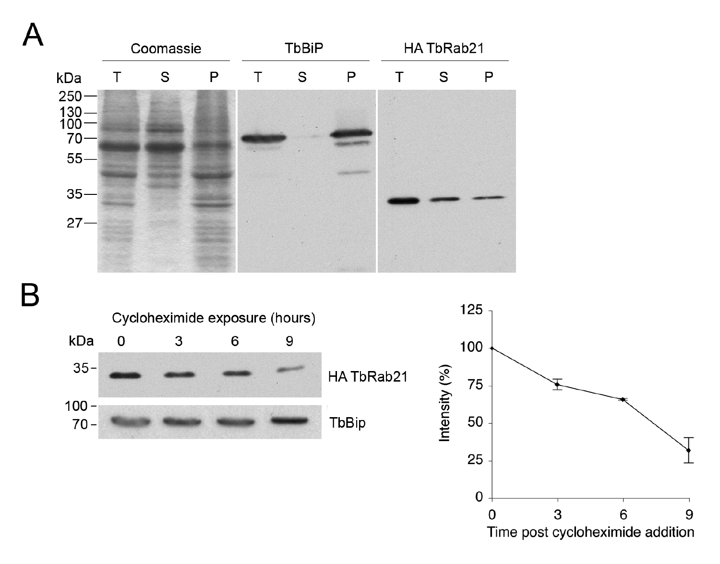



Time post cycloheximide addition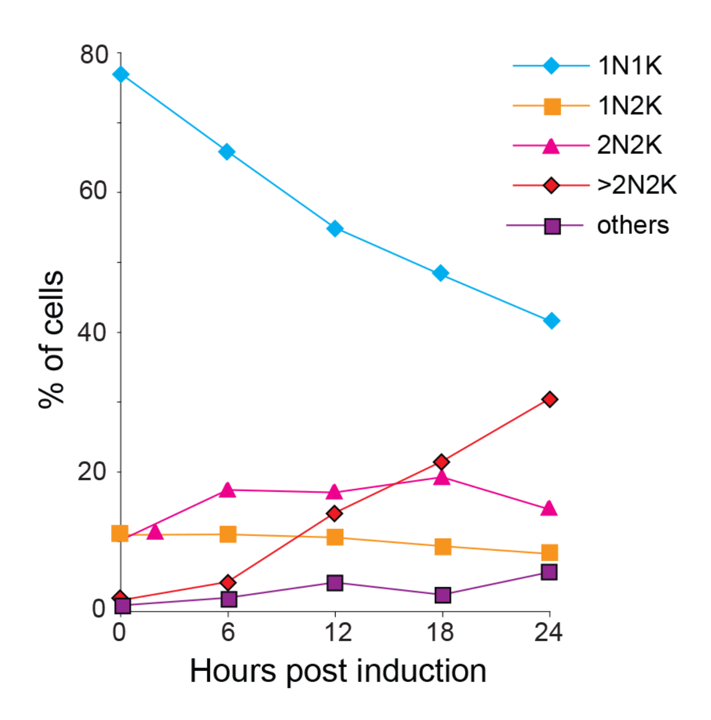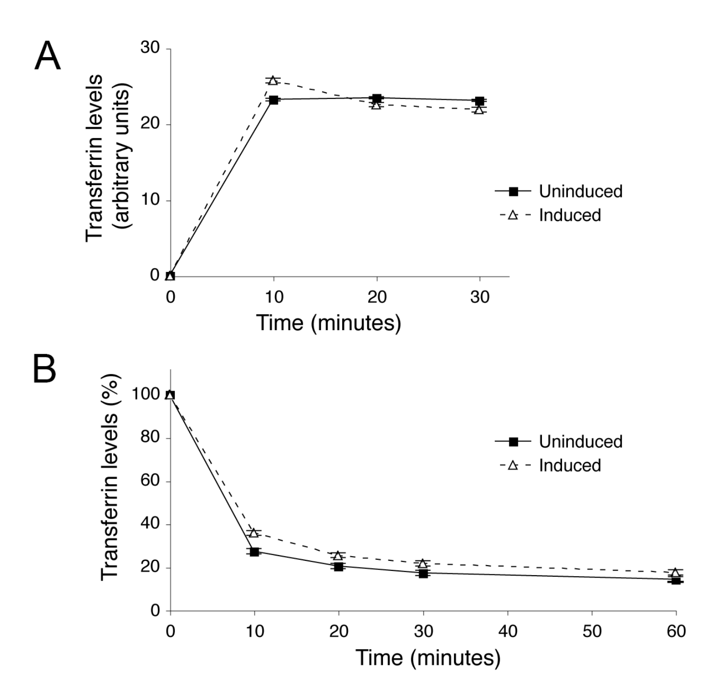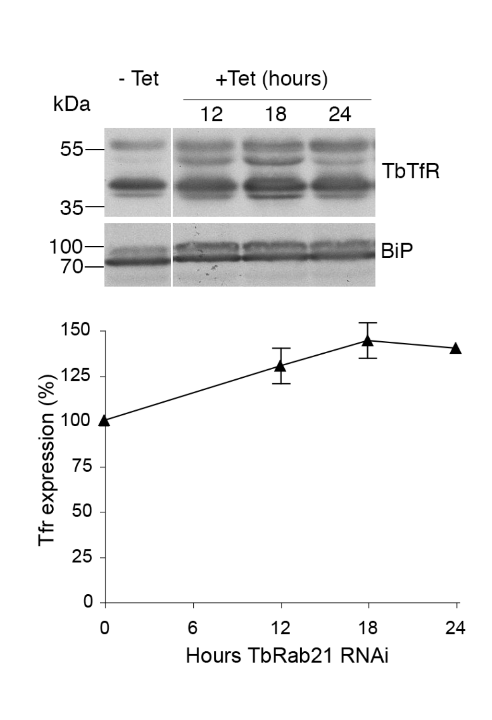